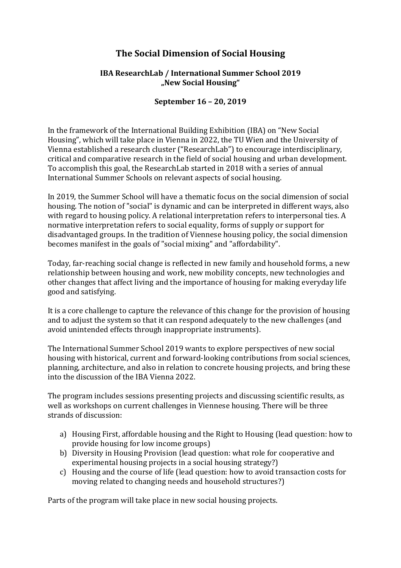## **The Social Dimension of Social Housing**

## **IBA ResearchLab / International Summer School 2019 "New Social Housing"**

## **September 16 – 20, 2019**

In the framework of the International Building Exhibition (IBA) on "New Social Housing", which will take place in Vienna in 2022, the TU Wien and the University of Vienna established a research cluster ("ResearchLab") to encourage interdisciplinary, critical and comparative research in the field of social housing and urban development. To accomplish this goal, the ResearchLab started in 2018 with a series of annual International Summer Schools on relevant aspects of social housing.

In 2019, the Summer School will have a thematic focus on the social dimension of social housing. The notion of "social" is dynamic and can be interpreted in different ways, also with regard to housing policy. A relational interpretation refers to interpersonal ties. A normative interpretation refers to social equality, forms of supply or support for disadvantaged groups. In the tradition of Viennese housing policy, the social dimension becomes manifest in the goals of "social mixing" and "affordability".

Today, far-reaching social change is reflected in new family and household forms, a new relationship between housing and work, new mobility concepts, new technologies and other changes that affect living and the importance of housing for making everyday life good and satisfying.

It is a core challenge to capture the relevance of this change for the provision of housing and to adjust the system so that it can respond adequately to the new challenges (and avoid unintended effects through inappropriate instruments).

The International Summer School 2019 wants to explore perspectives of new social housing with historical, current and forward-looking contributions from social sciences, planning, architecture, and also in relation to concrete housing projects, and bring these into the discussion of the IBA Vienna 2022.

The program includes sessions presenting projects and discussing scientific results, as well as workshops on current challenges in Viennese housing. There will be three strands of discussion:

- a) Housing First, affordable housing and the Right to Housing (lead question: how to provide housing for low income groups)
- b) Diversity in Housing Provision (lead question: what role for cooperative and experimental housing projects in a social housing strategy?)
- c) Housing and the course of life (lead question: how to avoid transaction costs for moving related to changing needs and household structures?)

Parts of the program will take place in new social housing projects.